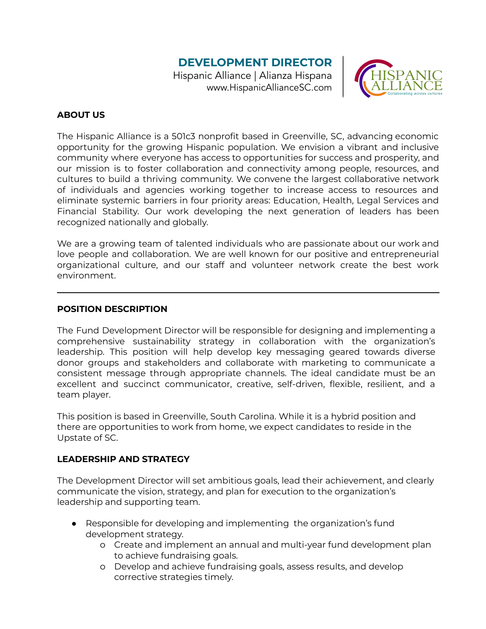# **DEVELOPMENT DIRECTOR**

Hispanic Alliance | Alianza Hispana www.HispanicAllianceSC.com



#### **ABOUT US**

The Hispanic Alliance is a 501c3 nonprofit based in Greenville, SC, advancing economic opportunity for the growing Hispanic population. We envision a vibrant and inclusive community where everyone has access to opportunities for success and prosperity, and our mission is to foster collaboration and connectivity among people, resources, and cultures to build a thriving community. We convene the largest collaborative network of individuals and agencies working together to increase access to resources and eliminate systemic barriers in four priority areas: Education, Health, Legal Services and Financial Stability. Our work developing the next generation of leaders has been recognized nationally and globally.

We are a growing team of talented individuals who are passionate about our work and love people and collaboration. We are well known for our positive and entrepreneurial organizational culture, and our staff and volunteer network create the best work environment.

#### **POSITION DESCRIPTION**

The Fund Development Director will be responsible for designing and implementing a comprehensive sustainability strategy in collaboration with the organization's leadership. This position will help develop key messaging geared towards diverse donor groups and stakeholders and collaborate with marketing to communicate a consistent message through appropriate channels. The ideal candidate must be an excellent and succinct communicator, creative, self-driven, flexible, resilient, and a team player.

This position is based in Greenville, South Carolina. While it is a hybrid position and there are opportunities to work from home, we expect candidates to reside in the Upstate of SC.

#### **LEADERSHIP AND STRATEGY**

The Development Director will set ambitious goals, lead their achievement, and clearly communicate the vision, strategy, and plan for execution to the organization's leadership and supporting team.

- Responsible for developing and implementing the organization's fund development strategy.
	- o Create and implement an annual and multi-year fund development plan to achieve fundraising goals.
	- o Develop and achieve fundraising goals, assess results, and develop corrective strategies timely.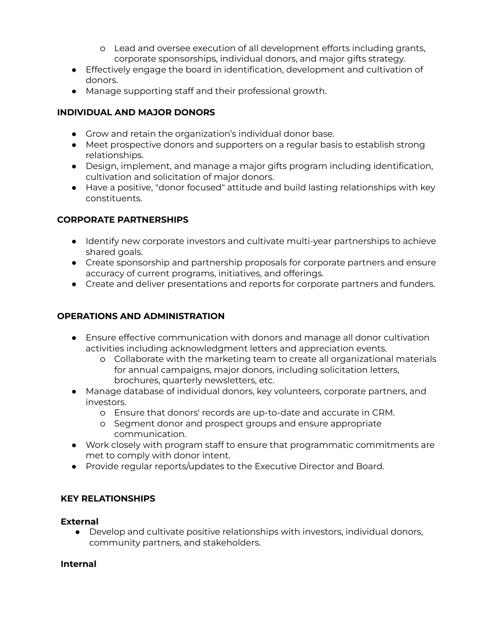- o Lead and oversee execution of all development efforts including grants, corporate sponsorships, individual donors, and major gifts strategy.
- Effectively engage the board in identification, development and cultivation of donors.
- Manage supporting staff and their professional growth.

### **INDIVIDUAL AND MAJOR DONORS**

- Grow and retain the organization's individual donor base.
- Meet prospective donors and supporters on a regular basis to establish strong relationships.
- Design, implement, and manage a major gifts program including identification, cultivation and solicitation of major donors.
- Have a positive, "donor focused" attitude and build lasting relationships with key constituents.

### **CORPORATE PARTNERSHIPS**

- Identify new corporate investors and cultivate multi-year partnerships to achieve shared goals.
- Create sponsorship and partnership proposals for corporate partners and ensure accuracy of current programs, initiatives, and offerings.
- Create and deliver presentations and reports for corporate partners and funders.

# **OPERATIONS AND ADMINISTRATION**

- Ensure effective communication with donors and manage all donor cultivation activities including acknowledgment letters and appreciation events.
	- o Collaborate with the marketing team to create all organizational materials for annual campaigns, major donors, including solicitation letters, brochures, quarterly newsletters, etc.
- Manage database of individual donors, key volunteers, corporate partners, and investors.
	- o Ensure that donors' records are up-to-date and accurate in CRM.
	- o Segment donor and prospect groups and ensure appropriate communication.
- Work closely with program staff to ensure that programmatic commitments are met to comply with donor intent.
- Provide regular reports/updates to the Executive Director and Board.

#### **KEY RELATIONSHIPS**

#### **External**

● Develop and cultivate positive relationships with investors, individual donors, community partners, and stakeholders.

#### **Internal**